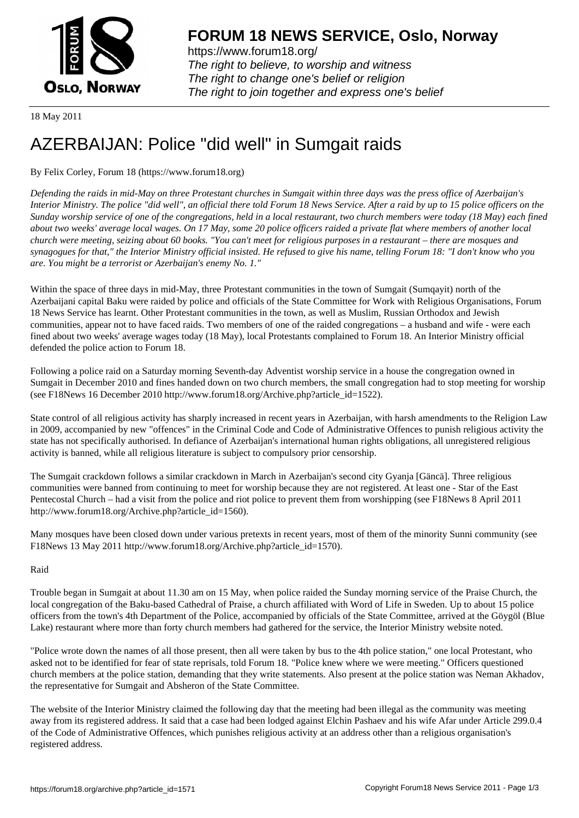

https://www.forum18.org/ The right to believe, to worship and witness The right to change one's belief or religion [The right to join together a](https://www.forum18.org/)nd express one's belief

18 May 2011

# [AZERBAIJAN: P](https://www.forum18.org)olice "did well" in Sumgait raids

# By Felix Corley, Forum 18 (https://www.forum18.org)

*Defending the raids in mid-May on three Protestant churches in Sumgait within three days was the press office of Azerbaijan's Interior Ministry. The police "did well", an official there told Forum 18 News Service. After a raid by up to 15 police officers on the Sunday worship service of one of the congregations, held in a local restaurant, two church members were today (18 May) each fined about two weeks' average local wages. On 17 May, some 20 police officers raided a private flat where members of another local church were meeting, seizing about 60 books. "You can't meet for religious purposes in a restaurant – there are mosques and synagogues for that," the Interior Ministry official insisted. He refused to give his name, telling Forum 18: "I don't know who you are. You might be a terrorist or Azerbaijan's enemy No. 1."*

Within the space of three days in mid-May, three Protestant communities in the town of Sumgait (Sumqayit) north of the Azerbaijani capital Baku were raided by police and officials of the State Committee for Work with Religious Organisations, Forum 18 News Service has learnt. Other Protestant communities in the town, as well as Muslim, Russian Orthodox and Jewish communities, appear not to have faced raids. Two members of one of the raided congregations – a husband and wife - were each fined about two weeks' average wages today (18 May), local Protestants complained to Forum 18. An Interior Ministry official defended the police action to Forum 18.

Following a police raid on a Saturday morning Seventh-day Adventist worship service in a house the congregation owned in Sumgait in December 2010 and fines handed down on two church members, the small congregation had to stop meeting for worship (see F18News 16 December 2010 http://www.forum18.org/Archive.php?article\_id=1522).

State control of all religious activity has sharply increased in recent years in Azerbaijan, with harsh amendments to the Religion Law in 2009, accompanied by new "offences" in the Criminal Code and Code of Administrative Offences to punish religious activity the state has not specifically authorised. In defiance of Azerbaijan's international human rights obligations, all unregistered religious activity is banned, while all religious literature is subject to compulsory prior censorship.

The Sumgait crackdown follows a similar crackdown in March in Azerbaijan's second city Gyanja [Gäncä]. Three religious communities were banned from continuing to meet for worship because they are not registered. At least one - Star of the East Pentecostal Church – had a visit from the police and riot police to prevent them from worshipping (see F18News 8 April 2011 http://www.forum18.org/Archive.php?article\_id=1560).

Many mosques have been closed down under various pretexts in recent years, most of them of the minority Sunni community (see F18News 13 May 2011 http://www.forum18.org/Archive.php?article\_id=1570).

# Raid

Trouble began in Sumgait at about 11.30 am on 15 May, when police raided the Sunday morning service of the Praise Church, the local congregation of the Baku-based Cathedral of Praise, a church affiliated with Word of Life in Sweden. Up to about 15 police officers from the town's 4th Department of the Police, accompanied by officials of the State Committee, arrived at the Göygöl (Blue Lake) restaurant where more than forty church members had gathered for the service, the Interior Ministry website noted.

"Police wrote down the names of all those present, then all were taken by bus to the 4th police station," one local Protestant, who asked not to be identified for fear of state reprisals, told Forum 18. "Police knew where we were meeting." Officers questioned church members at the police station, demanding that they write statements. Also present at the police station was Neman Akhadov, the representative for Sumgait and Absheron of the State Committee.

The website of the Interior Ministry claimed the following day that the meeting had been illegal as the community was meeting away from its registered address. It said that a case had been lodged against Elchin Pashaev and his wife Afar under Article 299.0.4 of the Code of Administrative Offences, which punishes religious activity at an address other than a religious organisation's registered address.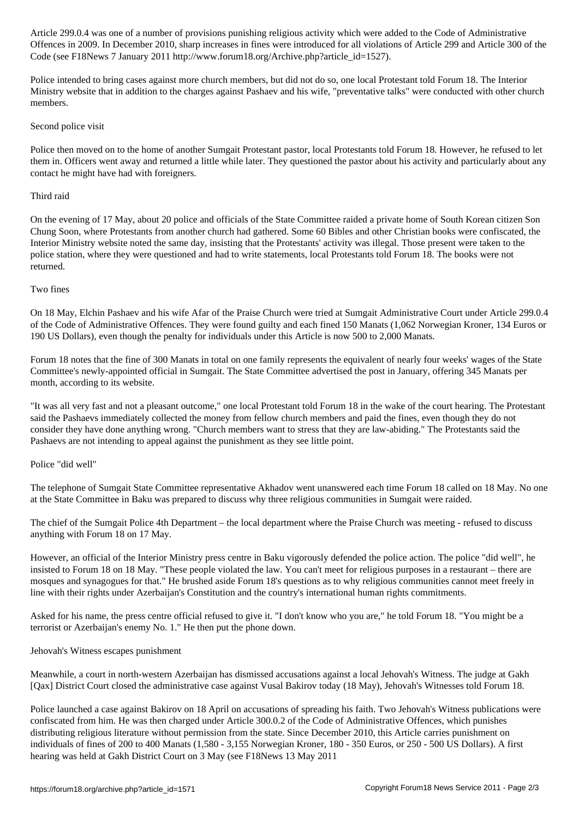Code (see F18News 7 January 2011 http://www.forum18.org/Archive.php?article\_id=1527).

Police intended to bring cases against more church members, but did not do so, one local Protestant told Forum 18. The Interior Ministry website that in addition to the charges against Pashaev and his wife, "preventative talks" were conducted with other church members.

 $\overline{\phantom{a}}$ 

# Second police visit

Police then moved on to the home of another Sumgait Protestant pastor, local Protestants told Forum 18. However, he refused to let them in. Officers went away and returned a little while later. They questioned the pastor about his activity and particularly about any contact he might have had with foreigners.

# Third raid

On the evening of 17 May, about 20 police and officials of the State Committee raided a private home of South Korean citizen Son Chung Soon, where Protestants from another church had gathered. Some 60 Bibles and other Christian books were confiscated, the Interior Ministry website noted the same day, insisting that the Protestants' activity was illegal. Those present were taken to the police station, where they were questioned and had to write statements, local Protestants told Forum 18. The books were not returned.

# Two fines

On 18 May, Elchin Pashaev and his wife Afar of the Praise Church were tried at Sumgait Administrative Court under Article 299.0.4 of the Code of Administrative Offences. They were found guilty and each fined 150 Manats (1,062 Norwegian Kroner, 134 Euros or 190 US Dollars), even though the penalty for individuals under this Article is now 500 to 2,000 Manats.

Forum 18 notes that the fine of 300 Manats in total on one family represents the equivalent of nearly four weeks' wages of the State Committee's newly-appointed official in Sumgait. The State Committee advertised the post in January, offering 345 Manats per month, according to its website.

"It was all very fast and not a pleasant outcome," one local Protestant told Forum 18 in the wake of the court hearing. The Protestant said the Pashaevs immediately collected the money from fellow church members and paid the fines, even though they do not consider they have done anything wrong. "Church members want to stress that they are law-abiding." The Protestants said the Pashaevs are not intending to appeal against the punishment as they see little point.

# Police "did well"

The telephone of Sumgait State Committee representative Akhadov went unanswered each time Forum 18 called on 18 May. No one at the State Committee in Baku was prepared to discuss why three religious communities in Sumgait were raided.

The chief of the Sumgait Police 4th Department – the local department where the Praise Church was meeting - refused to discuss anything with Forum 18 on 17 May.

However, an official of the Interior Ministry press centre in Baku vigorously defended the police action. The police "did well", he insisted to Forum 18 on 18 May. "These people violated the law. You can't meet for religious purposes in a restaurant – there are mosques and synagogues for that." He brushed aside Forum 18's questions as to why religious communities cannot meet freely in line with their rights under Azerbaijan's Constitution and the country's international human rights commitments.

Asked for his name, the press centre official refused to give it. "I don't know who you are," he told Forum 18. "You might be a terrorist or Azerbaijan's enemy No. 1." He then put the phone down.

# Jehovah's Witness escapes punishment

Meanwhile, a court in north-western Azerbaijan has dismissed accusations against a local Jehovah's Witness. The judge at Gakh [Qax] District Court closed the administrative case against Vusal Bakirov today (18 May), Jehovah's Witnesses told Forum 18.

Police launched a case against Bakirov on 18 April on accusations of spreading his faith. Two Jehovah's Witness publications were confiscated from him. He was then charged under Article 300.0.2 of the Code of Administrative Offences, which punishes distributing religious literature without permission from the state. Since December 2010, this Article carries punishment on individuals of fines of 200 to 400 Manats (1,580 - 3,155 Norwegian Kroner, 180 - 350 Euros, or 250 - 500 US Dollars). A first hearing was held at Gakh District Court on 3 May (see F18News 13 May 2011